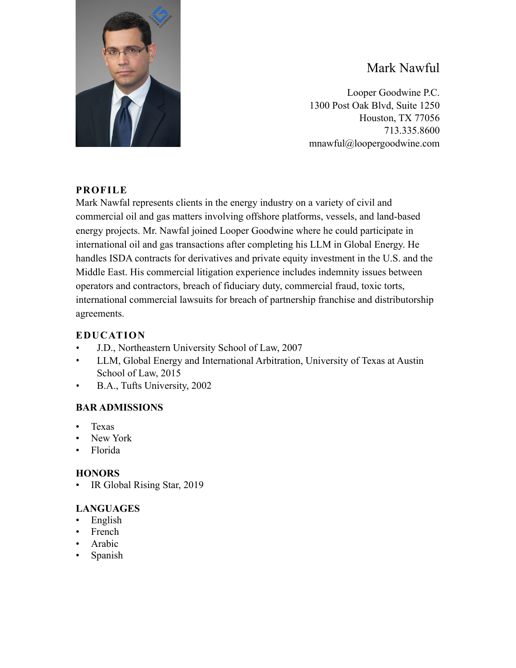

# Mark Nawful

Looper Goodwine P.C. 1300 Post Oak Blvd, Suite 1250 Houston, TX 77056 713.335.8600 mnawful@loopergoodwine.com

## **PROFILE**

Mark Nawfal represents clients in the energy industry on a variety of civil and commercial oil and gas matters involving offshore platforms, vessels, and land-based energy projects. Mr. Nawfal joined Looper Goodwine where he could participate in international oil and gas transactions after completing his LLM in Global Energy. He handles ISDA contracts for derivatives and private equity investment in the U.S. and the Middle East. His commercial litigation experience includes indemnity issues between operators and contractors, breach of fiduciary duty, commercial fraud, toxic torts, international commercial lawsuits for breach of partnership franchise and distributorship agreements.

### **EDUCATION**

- J.D., Northeastern University School of Law, 2007
- LLM, Global Energy and International Arbitration, University of Texas at Austin School of Law, 2015
- B.A., Tufts University, 2002

## **BAR ADMISSIONS**

- Texas
- New York
- Florida

#### **HONORS**

• IR Global Rising Star, 2019

## **LANGUAGES**

- English
- **French**
- **Arabic**
- Spanish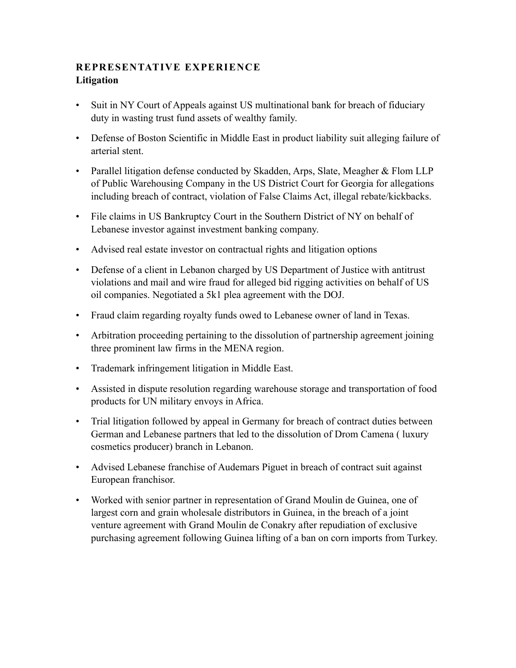### **REPRESENTATIVE EXPERIENCE Litigation**

- Suit in NY Court of Appeals against US multinational bank for breach of fiduciary duty in wasting trust fund assets of wealthy family.
- Defense of Boston Scientific in Middle East in product liability suit alleging failure of arterial stent.
- Parallel litigation defense conducted by Skadden, Arps, Slate, Meagher & Flom LLP of Public Warehousing Company in the US District Court for Georgia for allegations including breach of contract, violation of False Claims Act, illegal rebate/kickbacks.
- File claims in US Bankruptcy Court in the Southern District of NY on behalf of Lebanese investor against investment banking company.
- Advised real estate investor on contractual rights and litigation options
- Defense of a client in Lebanon charged by US Department of Justice with antitrust violations and mail and wire fraud for alleged bid rigging activities on behalf of US oil companies. Negotiated a 5k1 plea agreement with the DOJ.
- Fraud claim regarding royalty funds owed to Lebanese owner of land in Texas.
- Arbitration proceeding pertaining to the dissolution of partnership agreement joining three prominent law firms in the MENA region.
- Trademark infringement litigation in Middle East.
- Assisted in dispute resolution regarding warehouse storage and transportation of food products for UN military envoys in Africa.
- Trial litigation followed by appeal in Germany for breach of contract duties between German and Lebanese partners that led to the dissolution of Drom Camena ( luxury cosmetics producer) branch in Lebanon.
- Advised Lebanese franchise of Audemars Piguet in breach of contract suit against European franchisor.
- Worked with senior partner in representation of Grand Moulin de Guinea, one of largest corn and grain wholesale distributors in Guinea, in the breach of a joint venture agreement with Grand Moulin de Conakry after repudiation of exclusive purchasing agreement following Guinea lifting of a ban on corn imports from Turkey.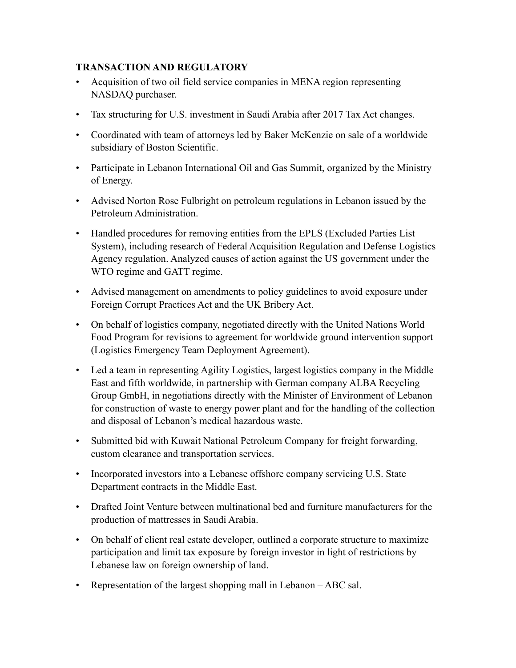#### **TRANSACTION AND REGULATORY**

- Acquisition of two oil field service companies in MENA region representing NASDAQ purchaser.
- Tax structuring for U.S. investment in Saudi Arabia after 2017 Tax Act changes.
- Coordinated with team of attorneys led by Baker McKenzie on sale of a worldwide subsidiary of Boston Scientific.
- Participate in Lebanon International Oil and Gas Summit, organized by the Ministry of Energy.
- Advised Norton Rose Fulbright on petroleum regulations in Lebanon issued by the Petroleum Administration.
- Handled procedures for removing entities from the EPLS (Excluded Parties List System), including research of Federal Acquisition Regulation and Defense Logistics Agency regulation. Analyzed causes of action against the US government under the WTO regime and GATT regime.
- Advised management on amendments to policy guidelines to avoid exposure under Foreign Corrupt Practices Act and the UK Bribery Act.
- On behalf of logistics company, negotiated directly with the United Nations World Food Program for revisions to agreement for worldwide ground intervention support (Logistics Emergency Team Deployment Agreement).
- Led a team in representing Agility Logistics, largest logistics company in the Middle East and fifth worldwide, in partnership with German company ALBA Recycling Group GmbH, in negotiations directly with the Minister of Environment of Lebanon for construction of waste to energy power plant and for the handling of the collection and disposal of Lebanon's medical hazardous waste.
- Submitted bid with Kuwait National Petroleum Company for freight forwarding, custom clearance and transportation services.
- Incorporated investors into a Lebanese offshore company servicing U.S. State Department contracts in the Middle East.
- Drafted Joint Venture between multinational bed and furniture manufacturers for the production of mattresses in Saudi Arabia.
- On behalf of client real estate developer, outlined a corporate structure to maximize participation and limit tax exposure by foreign investor in light of restrictions by Lebanese law on foreign ownership of land.
- Representation of the largest shopping mall in Lebanon ABC sal.